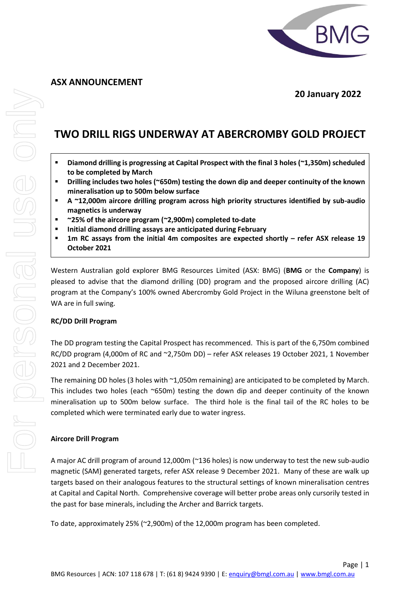

 **20 January 2022**

# **TWO DRILL RIGS UNDERWAY AT ABERCROMBY GOLD PROJECT**

- **Diamond drilling is progressing at Capital Prospect with the final 3 holes(~1,350m) scheduled to be completed by March**
- **Drilling includes two holes (~650m) testing the down dip and deeper continuity of the known mineralisation up to 500m below surface**
- **A ~12,000m aircore drilling program across high priority structures identified by sub-audio magnetics is underway**
- **~25% of the aircore program (~2,900m) completed to-date**
- **Initial diamond drilling assays are anticipated during February**
- **1m RC assays from the initial 4m composites are expected shortly – refer ASX release 19 October 2021**

Western Australian gold explorer BMG Resources Limited (ASX: BMG) (**BMG** or the **Company**) is pleased to advise that the diamond drilling (DD) program and the proposed aircore drilling (AC) program at the Company's 100% owned Abercromby Gold Project in the Wiluna greenstone belt of WA are in full swing.

# **RC/DD Drill Program**

The DD program testing the Capital Prospect has recommenced. This is part of the 6,750m combined RC/DD program (4,000m of RC and ~2,750m DD) – refer ASX releases 19 October 2021, 1 November 2021 and 2 December 2021.

The remaining DD holes (3 holes with ~1,050m remaining) are anticipated to be completed by March. This includes two holes (each ~650m) testing the down dip and deeper continuity of the known mineralisation up to 500m below surface. The third hole is the final tail of the RC holes to be completed which were terminated early due to water ingress.

### **Aircore Drill Program**

A major AC drill program of around 12,000m (~136 holes) is now underway to test the new sub-audio magnetic (SAM) generated targets, refer ASX release 9 December 2021. Many of these are walk up targets based on their analogous features to the structural settings of known mineralisation centres at Capital and Capital North. Comprehensive coverage will better probe areas only cursorily tested in the past for base minerals, including the Archer and Barrick targets.

To date, approximately 25% (~2,900m) of the 12,000m program has been completed.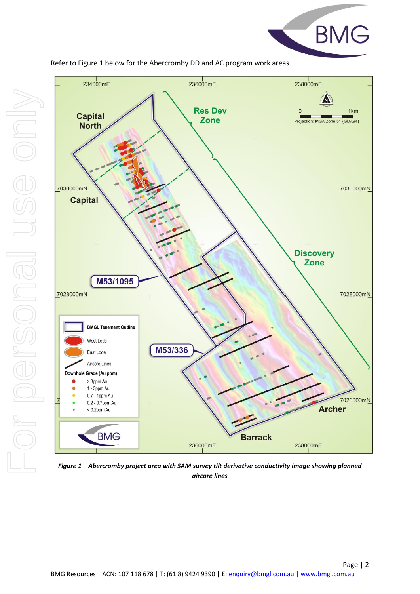



Refer to Figure 1 below for the Abercromby DD and AC program work areas.



*Figure 1 – Abercromby project area with SAM survey tilt derivative conductivity image showing planned aircore lines*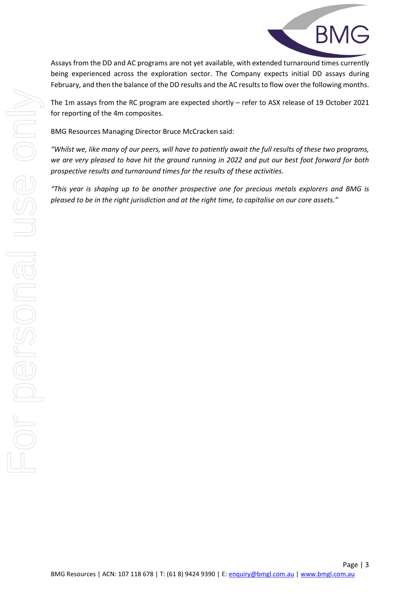

Assays from the DD and AC programs are not yet available, with extended turnaround times currently being experienced across the exploration sector. The Company expects initial DD assays during February, and then the balance of the DD results and the AC results to flow over the following months.

The 1m assays from the RC program are expected shortly – refer to ASX release of 19 October 2021 for reporting of the 4m composites.

BMG Resources Managing Director Bruce McCracken said:

*"Whilst we, like many of our peers, will have to patiently await the full results of these two programs, we are very pleased to have hit the ground running in 2022 and put our best foot forward for both prospective results and turnaround times for the results of these activities.*

*"This year is shaping up to be another prospective one for precious metals explorers and BMG is pleased to be in the right jurisdiction and at the right time, to capitalise on our core assets."*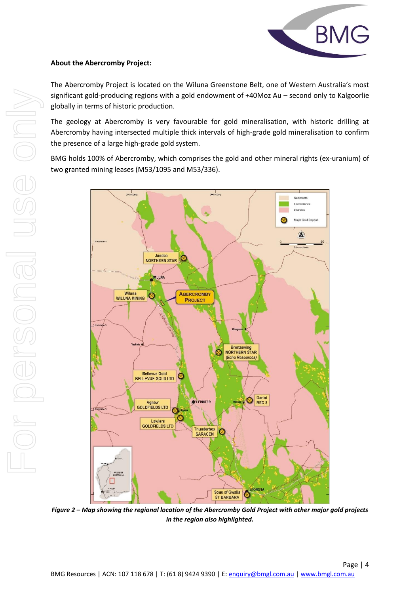

# **About the Abercromby Project:**

The Abercromby Project is located on the Wiluna Greenstone Belt, one of Western Australia's most significant gold-producing regions with a gold endowment of +40Moz Au – second only to Kalgoorlie globally in terms of historic production.

The geology at Abercromby is very favourable for gold mineralisation, with historic drilling at Abercromby having intersected multiple thick intervals of high-grade gold mineralisation to confirm the presence of a large high-grade gold system.

BMG holds 100% of Abercromby, which comprises the gold and other mineral rights (ex-uranium) of two granted mining leases (M53/1095 and M53/336).



*Figure 2 – Map showing the regional location of the Abercromby Gold Project with other major gold projects in the region also highlighted.*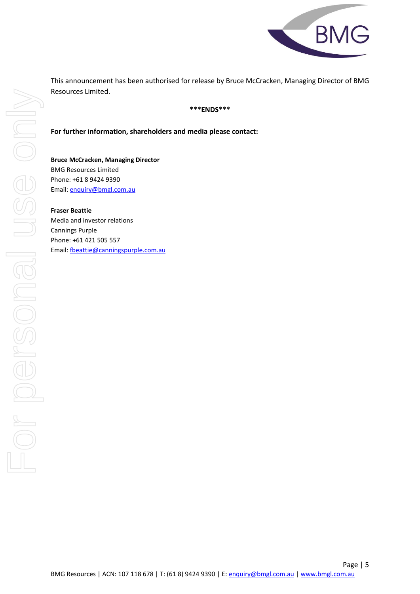

This announcement has been authorised for release by Bruce McCracken, Managing Director of BMG Resources Limited.

### **\*\*\*ENDS\*\*\***

**For further information, shareholders and media please contact:**

**Bruce McCracken, Managing Director** BMG Resources Limited Phone: +61 8 9424 9390 Email: [enquiry@bmgl.com.au](mailto:enquiry@bmgl.com.au)

**Fraser Beattie** Media and investor relations Cannings Purple Phone: **+**61 421 505 557 Email: [fbeattie@canningspurple.com.au](mailto:fbeattie@canningspurple.com.au)